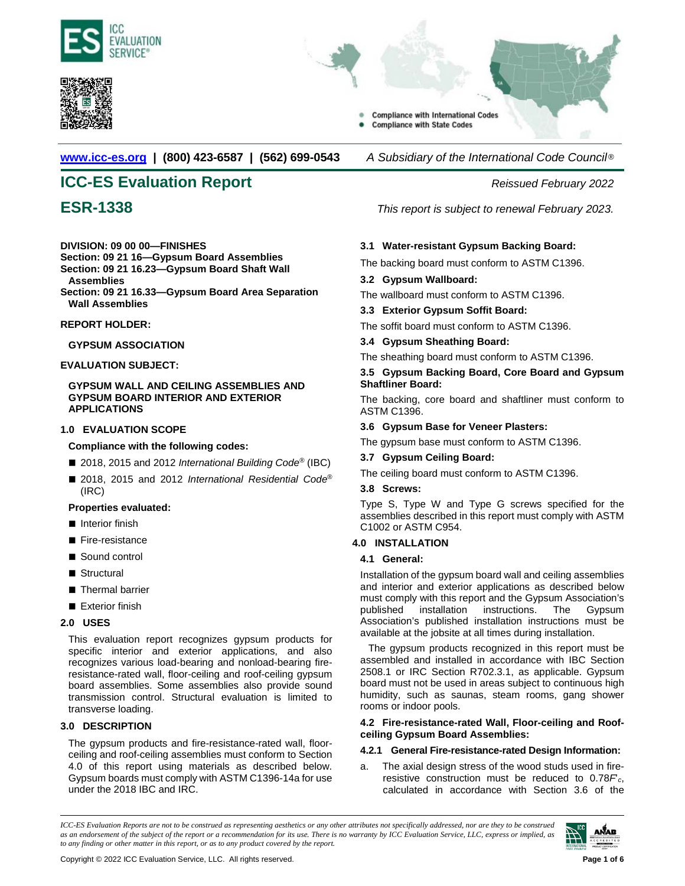



- **Compliance with International Codes** 
	- **Compliance with State Codes**

**[www.icc-es.org](http://www.icc-es.org/) | (800) 423-6587 | (562) 699-0543** *A Subsidiary of the International Code Council* ®

# **ICC-ES Evaluation Report** *Reissued February 2022*

# **DIVISION: 09 00 00—FINISHES**

**Section: 09 21 16—Gypsum Board Assemblies**

- **Section: 09 21 16.23—Gypsum Board Shaft Wall**
- **Assemblies Section: 09 21 16.33—Gypsum Board Area Separation Wall Assemblies**

# **REPORT HOLDER:**

# **GYPSUM ASSOCIATION**

# **EVALUATION SUBJECT:**

# **GYPSUM WALL AND CEILING ASSEMBLIES AND GYPSUM BOARD INTERIOR AND EXTERIOR APPLICATIONS**

# **1.0 EVALUATION SCOPE**

# **Compliance with the following codes:**

- 2018, 2015 and 2012 *International Building Code<sup>®</sup>* (IBC)
- 2018, 2015 and 2012 *International Residential Code®* (IRC)

# **Properties evaluated:**

- Interior finish
- Fire-resistance
- Sound control
- Structural
- Thermal barrier
- Exterior finish

# **2.0 USES**

This evaluation report recognizes gypsum products for specific interior and exterior applications, and also recognizes various load-bearing and nonload-bearing fireresistance-rated wall, floor-ceiling and roof-ceiling gypsum board assemblies. Some assemblies also provide sound transmission control. Structural evaluation is limited to transverse loading.

# **3.0 DESCRIPTION**

The gypsum products and fire-resistance-rated wall, floorceiling and roof-ceiling assemblies must conform to Section 4.0 of this report using materials as described below. Gypsum boards must comply with ASTM C1396-14a for use under the 2018 IBC and IRC.

**ESR-1338** *This report is subject to renewal February 2023.*

# **3.1 Water-resistant Gypsum Backing Board:**

The backing board must conform to ASTM C1396.

# **3.2 Gypsum Wallboard:**

The wallboard must conform to ASTM C1396.

# **3.3 Exterior Gypsum Soffit Board:**

The soffit board must conform to ASTM C1396.

# **3.4 Gypsum Sheathing Board:**

The sheathing board must conform to ASTM C1396.

# **3.5 Gypsum Backing Board, Core Board and Gypsum Shaftliner Board:**

The backing, core board and shaftliner must conform to ASTM C1396.

# **3.6 Gypsum Base for Veneer Plasters:**

The gypsum base must conform to ASTM C1396.

# **3.7 Gypsum Ceiling Board:**

The ceiling board must conform to ASTM C1396.

# **3.8 Screws:**

Type S, Type W and Type G screws specified for the assemblies described in this report must comply with ASTM C1002 or ASTM C954.

# **4.0 INSTALLATION**

# **4.1 General:**

Installation of the gypsum board wall and ceiling assemblies and interior and exterior applications as described below must comply with this report and the Gypsum Association's<br>published installation instructions. The Gypsum published installation instructions. The Gypsum Association's published installation instructions must be available at the jobsite at all times during installation.

The gypsum products recognized in this report must be assembled and installed in accordance with IBC Section 2508.1 or IRC Section R702.3.1, as applicable. Gypsum board must not be used in areas subject to continuous high humidity, such as saunas, steam rooms, gang shower rooms or indoor pools.

# **4.2 Fire-resistance-rated Wall, Floor-ceiling and Roofceiling Gypsum Board Assemblies:**

# **4.2.1 General Fire-resistance-rated Design Information:**

a. The axial design stress of the wood studs used in fireresistive construction must be reduced to 0.78*F*ʹ*c*, calculated in accordance with Section 3.6 of the

*ICC-ES Evaluation Reports are not to be construed as representing aesthetics or any other attributes not specifically addressed, nor are they to be construed as an endorsement of the subject of the report or a recommendation for its use. There is no warranty by ICC Evaluation Service, LLC, express or implied, as to any finding or other matter in this report, or as to any product covered by the report.*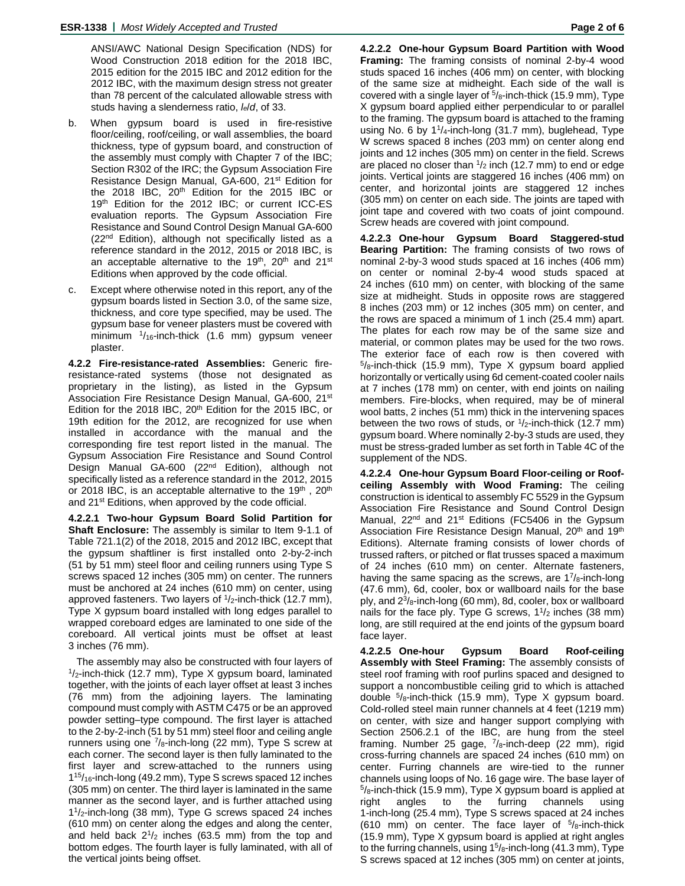ANSI/AWC National Design Specification (NDS) for Wood Construction 2018 edition for the 2018 IBC, 2015 edition for the 2015 IBC and 2012 edition for the 2012 IBC, with the maximum design stress not greater than 78 percent of the calculated allowable stress with studs having a slenderness ratio, *le*/*d*, of 33.

- b. When gypsum board is used in fire-resistive floor/ceiling, roof/ceiling, or wall assemblies, the board thickness, type of gypsum board, and construction of the assembly must comply with Chapter 7 of the IBC; Section R302 of the IRC; the Gypsum Association Fire Resistance Design Manual, GA-600, 21<sup>st</sup> Edition for the 2018 IBC, 20<sup>th</sup> Edition for the 2015 IBC or 19th Edition for the 2012 IBC; or current ICC-ES evaluation reports. The Gypsum Association Fire Resistance and Sound Control Design Manual GA-600 (22<sup>nd</sup> Edition), although not specifically listed as a reference standard in the 2012, 2015 or 2018 IBC, is an acceptable alternative to the 19<sup>th</sup>, 20<sup>th</sup> and 21<sup>st</sup> Editions when approved by the code official.
- c. Except where otherwise noted in this report, any of the gypsum boards listed in Section 3.0, of the same size, thickness, and core type specified, may be used. The gypsum base for veneer plasters must be covered with minimum  $\frac{1}{16}$ -inch-thick (1.6 mm) gypsum veneer plaster.

**4.2.2 Fire-resistance-rated Assemblies:** Generic fireresistance-rated systems (those not designated as proprietary in the listing), as listed in the Gypsum Association Fire Resistance Design Manual, GA-600, 21<sup>st</sup> Edition for the 2018 IBC, 20<sup>th</sup> Edition for the 2015 IBC, or 19th edition for the 2012, are recognized for use when installed in accordance with the manual and the corresponding fire test report listed in the manual. The Gypsum Association Fire Resistance and Sound Control Design Manual GA-600 (22<sup>nd</sup> Edition), although not specifically listed as a reference standard in the 2012, 2015 or 2018 IBC, is an acceptable alternative to the  $19<sup>th</sup>$ , 20<sup>th</sup> and 21<sup>st</sup> Editions, when approved by the code official.

**4.2.2.1 Two-hour Gypsum Board Solid Partition for Shaft Enclosure:** The assembly is similar to Item 9-1.1 of Table 721.1(2) of the 2018, 2015 and 2012 IBC, except that the gypsum shaftliner is first installed onto 2-by-2-inch (51 by 51 mm) steel floor and ceiling runners using Type S screws spaced 12 inches (305 mm) on center. The runners must be anchored at 24 inches (610 mm) on center, using approved fasteners. Two layers of  $1/2$ -inch-thick (12.7 mm), Type X gypsum board installed with long edges parallel to wrapped coreboard edges are laminated to one side of the coreboard. All vertical joints must be offset at least 3 inches (76 mm).

The assembly may also be constructed with four layers of  $1/2$ -inch-thick (12.7 mm), Type X gypsum board, laminated together, with the joints of each layer offset at least 3 inches (76 mm) from the adjoining layers. The laminating compound must comply with ASTM C475 or be an approved powder setting–type compound. The first layer is attached to the 2-by-2-inch (51 by 51 mm) steel floor and ceiling angle runners using one  $\frac{7}{8}$ -inch-long (22 mm), Type S screw at each corner. The second layer is then fully laminated to the first layer and screw-attached to the runners using 115/16-inch-long (49.2 mm), Type S screws spaced 12 inches (305 mm) on center. The third layer is laminated in the same manner as the second layer, and is further attached using 11/2-inch-long (38 mm), Type G screws spaced 24 inches (610 mm) on center along the edges and along the center, and held back  $2^{1/2}$  inches (63.5 mm) from the top and bottom edges. The fourth layer is fully laminated, with all of the vertical joints being offset.

**4.2.2.2 One-hour Gypsum Board Partition with Wood Framing:** The framing consists of nominal 2-by-4 wood studs spaced 16 inches (406 mm) on center, with blocking of the same size at midheight. Each side of the wall is covered with a single layer of  $5/8$ -inch-thick (15.9 mm), Type X gypsum board applied either perpendicular to or parallel to the framing. The gypsum board is attached to the framing using No. 6 by  $1\frac{1}{4}$ -inch-long (31.7 mm), buglehead, Type W screws spaced 8 inches (203 mm) on center along end joints and 12 inches (305 mm) on center in the field. Screws are placed no closer than  $\frac{1}{2}$  inch (12.7 mm) to end or edge joints. Vertical joints are staggered 16 inches (406 mm) on center, and horizontal joints are staggered 12 inches (305 mm) on center on each side. The joints are taped with joint tape and covered with two coats of joint compound. Screw heads are covered with joint compound.

**4.2.2.3 One-hour Gypsum Board Staggered-stud Bearing Partition:** The framing consists of two rows of nominal 2-by-3 wood studs spaced at 16 inches (406 mm) on center or nominal 2-by-4 wood studs spaced at 24 inches (610 mm) on center, with blocking of the same size at midheight. Studs in opposite rows are staggered 8 inches (203 mm) or 12 inches (305 mm) on center, and the rows are spaced a minimum of 1 inch (25.4 mm) apart. The plates for each row may be of the same size and material, or common plates may be used for the two rows. The exterior face of each row is then covered with  $5/8$ -inch-thick (15.9 mm), Type X gypsum board applied horizontally or vertically using 6d cement-coated cooler nails at 7 inches (178 mm) on center, with end joints on nailing members. Fire-blocks, when required, may be of mineral wool batts, 2 inches (51 mm) thick in the intervening spaces between the two rows of studs, or  $\frac{1}{2}$ -inch-thick (12.7 mm) gypsum board. Where nominally 2-by-3 studs are used, they must be stress-graded lumber as set forth in Table 4C of the supplement of the NDS.

**4.2.2.4 One-hour Gypsum Board Floor-ceiling or Roofceiling Assembly with Wood Framing:** The ceiling construction is identical to assembly FC 5529 in the Gypsum Association Fire Resistance and Sound Control Design Manual, 22<sup>nd</sup> and 21<sup>st</sup> Editions (FC5406 in the Gypsum Association Fire Resistance Design Manual, 20<sup>th</sup> and 19<sup>th</sup> Editions). Alternate framing consists of lower chords of trussed rafters, or pitched or flat trusses spaced a maximum of 24 inches (610 mm) on center. Alternate fasteners, having the same spacing as the screws, are  $1^{7}/_8$ -inch-long (47.6 mm), 6d, cooler, box or wallboard nails for the base ply, and  $2^{3}/_{8}$ -inch-long (60 mm), 8d, cooler, box or wallboard nails for the face ply. Type G screws,  $1\frac{1}{2}$  inches (38 mm) long, are still required at the end joints of the gypsum board face layer.

**4.2.2.5 One-hour Gypsum Board Roof-ceiling Assembly with Steel Framing:** The assembly consists of steel roof framing with roof purlins spaced and designed to support a noncombustible ceiling grid to which is attached double 5/8-inch-thick (15.9 mm), Type X gypsum board. Cold-rolled steel main runner channels at 4 feet (1219 mm) on center, with size and hanger support complying with Section 2506.2.1 of the IBC, are hung from the steel framing. Number 25 gage, <sup>7</sup>/8-inch-deep (22 mm), rigid cross-furring channels are spaced 24 inches (610 mm) on center. Furring channels are wire-tied to the runner channels using loops of No. 16 gage wire. The base layer of  $5\frac{1}{8}$ -inch-thick (15.9 mm), Type X gypsum board is applied at right angles to the furring channels using 1-inch-long (25.4 mm), Type S screws spaced at 24 inches (610 mm) on center. The face layer of  $5/\text{s}$ -inch-thick (15.9 mm), Type X gypsum board is applied at right angles to the furring channels, using  $1<sup>5</sup>/<sub>8</sub>$ -inch-long (41.3 mm), Type S screws spaced at 12 inches (305 mm) on center at joints,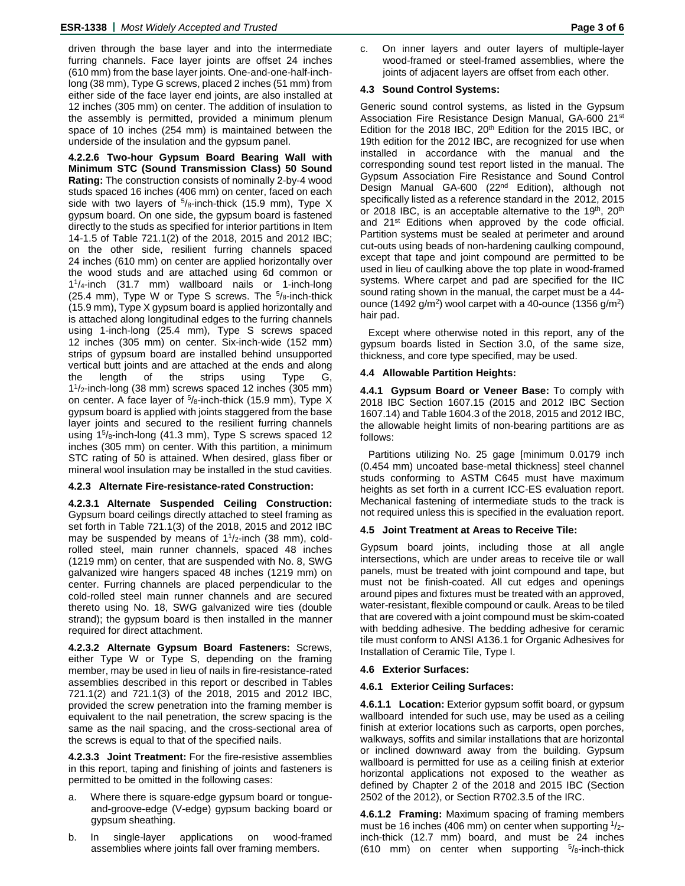driven through the base layer and into the intermediate furring channels. Face layer joints are offset 24 inches (610 mm) from the base layer joints. One-and-one-half-inchlong (38 mm), Type G screws, placed 2 inches (51 mm) from either side of the face layer end joints, are also installed at 12 inches (305 mm) on center. The addition of insulation to the assembly is permitted, provided a minimum plenum space of 10 inches (254 mm) is maintained between the underside of the insulation and the gypsum panel.

**4.2.2.6 Two-hour Gypsum Board Bearing Wall with Minimum STC (Sound Transmission Class) 50 Sound Rating:** The construction consists of nominally 2-by-4 wood studs spaced 16 inches (406 mm) on center, faced on each side with two layers of  $5/8$ -inch-thick (15.9 mm), Type X gypsum board. On one side, the gypsum board is fastened directly to the studs as specified for interior partitions in Item 14-1.5 of Table 721.1(2) of the 2018, 2015 and 2012 IBC; on the other side, resilient furring channels spaced 24 inches (610 mm) on center are applied horizontally over the wood studs and are attached using 6d common or 11/4-inch (31.7 mm) wallboard nails or 1-inch-long (25.4 mm), Type W or Type S screws. The 5/8-inch-thick (15.9 mm), Type X gypsum board is applied horizontally and is attached along longitudinal edges to the furring channels using 1-inch-long (25.4 mm), Type S screws spaced 12 inches (305 mm) on center. Six-inch-wide (152 mm) strips of gypsum board are installed behind unsupported vertical butt joints and are attached at the ends and along the length of the strips using Type G, 11/2-inch-long (38 mm) screws spaced 12 inches (305 mm) on center. A face layer of  $5/8$ -inch-thick (15.9 mm), Type X gypsum board is applied with joints staggered from the base layer joints and secured to the resilient furring channels using 1<sup>5</sup>/8-inch-long (41.3 mm), Type S screws spaced 12 inches (305 mm) on center. With this partition, a minimum STC rating of 50 is attained. When desired, glass fiber or mineral wool insulation may be installed in the stud cavities.

# **4.2.3 Alternate Fire-resistance-rated Construction:**

**4.2.3.1 Alternate Suspended Ceiling Construction:** Gypsum board ceilings directly attached to steel framing as set forth in Table 721.1(3) of the 2018, 2015 and 2012 IBC may be suspended by means of  $1\frac{1}{2}$ -inch (38 mm), coldrolled steel, main runner channels, spaced 48 inches (1219 mm) on center, that are suspended with No. 8, SWG galvanized wire hangers spaced 48 inches (1219 mm) on center. Furring channels are placed perpendicular to the cold-rolled steel main runner channels and are secured thereto using No. 18, SWG galvanized wire ties (double strand); the gypsum board is then installed in the manner required for direct attachment.

**4.2.3.2 Alternate Gypsum Board Fasteners:** Screws, either Type W or Type S, depending on the framing member, may be used in lieu of nails in fire-resistance-rated assemblies described in this report or described in Tables 721.1(2) and 721.1(3) of the 2018, 2015 and 2012 IBC, provided the screw penetration into the framing member is equivalent to the nail penetration, the screw spacing is the same as the nail spacing, and the cross-sectional area of the screws is equal to that of the specified nails.

**4.2.3.3 Joint Treatment:** For the fire-resistive assemblies in this report, taping and finishing of joints and fasteners is permitted to be omitted in the following cases:

- a. Where there is square-edge gypsum board or tongueand-groove-edge (V-edge) gypsum backing board or gypsum sheathing.
- b. In single-layer applications on wood-framed assemblies where joints fall over framing members.

# **4.3 Sound Control Systems:**

Generic sound control systems, as listed in the Gypsum Association Fire Resistance Design Manual, GA-600 21st Edition for the 2018 IBC,  $20<sup>th</sup>$  Edition for the 2015 IBC, or 19th edition for the 2012 IBC, are recognized for use when installed in accordance with the manual and the corresponding sound test report listed in the manual. The Gypsum Association Fire Resistance and Sound Control Design Manual GA-600 (22<sup>nd</sup> Edition), although not specifically listed as a reference standard in the 2012, 2015 or 2018 IBC, is an acceptable alternative to the 19th, 20th and 21<sup>st</sup> Editions when approved by the code official. Partition systems must be sealed at perimeter and around cut-outs using beads of non-hardening caulking compound, except that tape and joint compound are permitted to be used in lieu of caulking above the top plate in wood-framed systems. Where carpet and pad are specified for the IIC sound rating shown in the manual, the carpet must be a 44 ounce (1492 g/m<sup>2</sup>) wool carpet with a 40-ounce (1356 g/m<sup>2</sup>) hair pad.

Except where otherwise noted in this report, any of the gypsum boards listed in Section 3.0, of the same size, thickness, and core type specified, may be used.

# **4.4 Allowable Partition Heights:**

**4.4.1 Gypsum Board or Veneer Base:** To comply with 2018 IBC Section 1607.15 (2015 and 2012 IBC Section 1607.14) and Table 1604.3 of the 2018, 2015 and 2012 IBC, the allowable height limits of non-bearing partitions are as follows:

Partitions utilizing No. 25 gage [minimum 0.0179 inch (0.454 mm) uncoated base-metal thickness] steel channel studs conforming to ASTM C645 must have maximum heights as set forth in a current ICC-ES evaluation report. Mechanical fastening of intermediate studs to the track is not required unless this is specified in the evaluation report.

# **4.5 Joint Treatment at Areas to Receive Tile:**

Gypsum board joints, including those at all angle intersections, which are under areas to receive tile or wall panels, must be treated with joint compound and tape, but must not be finish-coated. All cut edges and openings around pipes and fixtures must be treated with an approved, water-resistant, flexible compound or caulk. Areas to be tiled that are covered with a joint compound must be skim-coated with bedding adhesive. The bedding adhesive for ceramic tile must conform to ANSI A136.1 for Organic Adhesives for Installation of Ceramic Tile, Type I.

### **4.6 Exterior Surfaces:**

# **4.6.1 Exterior Ceiling Surfaces:**

**4.6.1.1 Location:** Exterior gypsum soffit board, or gypsum wallboard intended for such use, may be used as a ceiling finish at exterior locations such as carports, open porches, walkways, soffits and similar installations that are horizontal or inclined downward away from the building. Gypsum wallboard is permitted for use as a ceiling finish at exterior horizontal applications not exposed to the weather as defined by Chapter 2 of the 2018 and 2015 IBC (Section 2502 of the 2012), or Section R702.3.5 of the IRC.

**4.6.1.2 Framing:** Maximum spacing of framing members must be 16 inches (406 mm) on center when supporting  $\frac{1}{2}$ inch-thick (12.7 mm) board, and must be 24 inches (610 mm) on center when supporting  $5\frac{1}{8}$ -inch-thick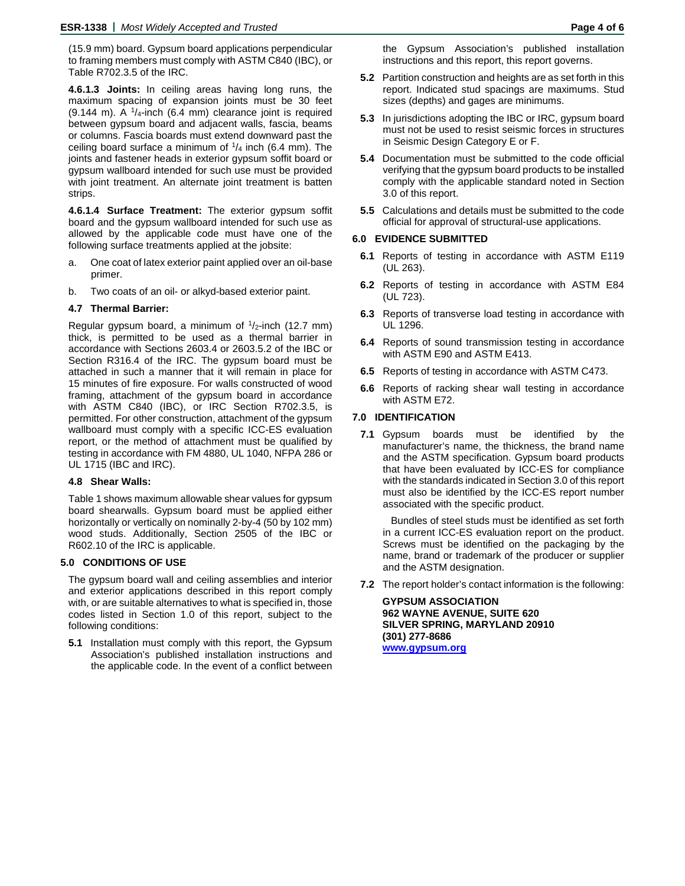(15.9 mm) board. Gypsum board applications perpendicular to framing members must comply with ASTM C840 (IBC), or Table R702.3.5 of the IRC.

**4.6.1.3 Joints:** In ceiling areas having long runs, the maximum spacing of expansion joints must be 30 feet  $(9.144 \text{ m})$ . A  $\frac{1}{4}$ -inch  $(6.4 \text{ mm})$  clearance joint is required between gypsum board and adjacent walls, fascia, beams or columns. Fascia boards must extend downward past the ceiling board surface a minimum of  $\frac{1}{4}$  inch (6.4 mm). The joints and fastener heads in exterior gypsum soffit board or gypsum wallboard intended for such use must be provided with joint treatment. An alternate joint treatment is batten strips.

**4.6.1.4 Surface Treatment:** The exterior gypsum soffit board and the gypsum wallboard intended for such use as allowed by the applicable code must have one of the following surface treatments applied at the jobsite:

- a. One coat of latex exterior paint applied over an oil-base primer.
- b. Two coats of an oil- or alkyd-based exterior paint.

# **4.7 Thermal Barrier:**

Regular gypsum board, a minimum of  $1/2$ -inch (12.7 mm) thick, is permitted to be used as a thermal barrier in accordance with Sections 2603.4 or 2603.5.2 of the IBC or Section R316.4 of the IRC. The gypsum board must be attached in such a manner that it will remain in place for 15 minutes of fire exposure. For walls constructed of wood framing, attachment of the gypsum board in accordance with ASTM C840 (IBC), or IRC Section R702.3.5, is permitted. For other construction, attachment of the gypsum wallboard must comply with a specific ICC-ES evaluation report, or the method of attachment must be qualified by testing in accordance with FM 4880, UL 1040, NFPA 286 or UL 1715 (IBC and IRC).

### **4.8 Shear Walls:**

Table 1 shows maximum allowable shear values for gypsum board shearwalls. Gypsum board must be applied either horizontally or vertically on nominally 2-by-4 (50 by 102 mm) wood studs. Additionally, Section 2505 of the IBC or R602.10 of the IRC is applicable.

# **5.0 CONDITIONS OF USE**

The gypsum board wall and ceiling assemblies and interior and exterior applications described in this report comply with, or are suitable alternatives to what is specified in, those codes listed in Section 1.0 of this report, subject to the following conditions:

**5.1** Installation must comply with this report, the Gypsum Association's published installation instructions and the applicable code. In the event of a conflict between

the Gypsum Association's published installation instructions and this report, this report governs.

- **5.2** Partition construction and heights are as set forth in this report. Indicated stud spacings are maximums. Stud sizes (depths) and gages are minimums.
- **5.3** In jurisdictions adopting the IBC or IRC, gypsum board must not be used to resist seismic forces in structures in Seismic Design Category E or F.
- **5.4** Documentation must be submitted to the code official verifying that the gypsum board products to be installed comply with the applicable standard noted in Section 3.0 of this report.
- **5.5** Calculations and details must be submitted to the code official for approval of structural-use applications.

# **6.0 EVIDENCE SUBMITTED**

- **6.1** Reports of testing in accordance with ASTM E119 (UL 263).
- **6.2** Reports of testing in accordance with ASTM E84 (UL 723).
- **6.3** Reports of transverse load testing in accordance with UL 1296.
- **6.4** Reports of sound transmission testing in accordance with ASTM E90 and ASTM E413.
- **6.5** Reports of testing in accordance with ASTM C473.
- **6.6** Reports of racking shear wall testing in accordance with ASTM E72.

# **7.0 IDENTIFICATION**

**7.1** Gypsum boards must be identified by the manufacturer's name, the thickness, the brand name and the ASTM specification. Gypsum board products that have been evaluated by ICC-ES for compliance with the standards indicated in Section 3.0 of this report must also be identified by the ICC-ES report number associated with the specific product.

Bundles of steel studs must be identified as set forth in a current ICC-ES evaluation report on the product. Screws must be identified on the packaging by the name, brand or trademark of the producer or supplier and the ASTM designation.

**7.2** The report holder's contact information is the following:

**GYPSUM ASSOCIATION 962 WAYNE AVENUE, SUITE 620 SILVER SPRING, MARYLAND 20910 (301) 277-8686 [www.gypsum.org](http://www.gypsum.org/)**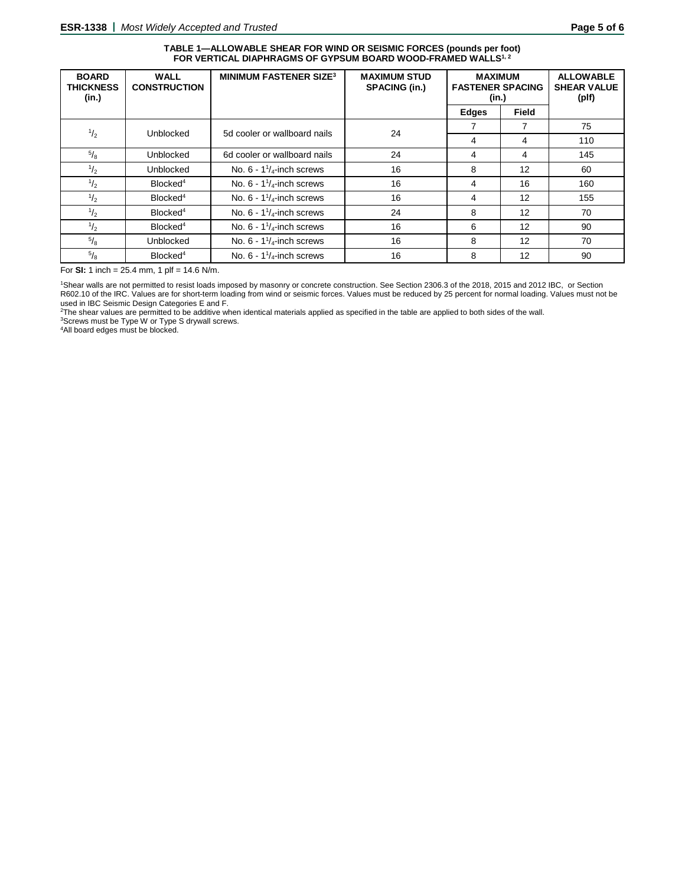#### **TABLE 1—ALLOWABLE SHEAR FOR WIND OR SEISMIC FORCES (pounds per foot)** FOR VERTICAL DIAPHRAGMS OF GYPSUM BOARD WOOD-FRAMED WALLS<sup>1, 2</sup>

| <b>BOARD</b><br><b>THICKNESS</b><br>(in.) | <b>WALL</b><br><b>CONSTRUCTION</b> | <b>MINIMUM FASTENER SIZE3</b>       | <b>MAXIMUM STUD</b><br><b>SPACING (in.)</b> | <b>MAXIMUM</b><br><b>FASTENER SPACING</b><br>(in.) |              | <b>ALLOWABLE</b><br><b>SHEAR VALUE</b><br>(plf) |
|-------------------------------------------|------------------------------------|-------------------------------------|---------------------------------------------|----------------------------------------------------|--------------|-------------------------------------------------|
|                                           |                                    |                                     |                                             | <b>Edges</b>                                       | <b>Field</b> |                                                 |
| $\frac{1}{2}$                             | Unblocked                          | 5d cooler or wallboard nails        | 24                                          |                                                    | 7            | 75                                              |
|                                           |                                    |                                     |                                             | 4                                                  | 4            | 110                                             |
| $^{5}/_8$                                 | <b>Unblocked</b>                   | 6d cooler or wallboard nails        | 24                                          | 4                                                  | 4            | 145                                             |
| $\frac{1}{2}$                             | <b>Unblocked</b>                   | No. $6 - 1\frac{1}{4}$ -inch screws | 16                                          | 8                                                  | 12           | 60                                              |
| $\frac{1}{2}$                             | Blocked <sup>4</sup>               | No. $6 - 1\frac{1}{4}$ -inch screws | 16                                          | 4                                                  | 16           | 160                                             |
| $\frac{1}{2}$                             | Blocked <sup>4</sup>               | No. $6 - 1\frac{1}{4}$ -inch screws | 16                                          | 4                                                  | 12           | 155                                             |
| $\frac{1}{2}$                             | Blocked <sup>4</sup>               | No. $6 - 1\frac{1}{4}$ -inch screws | 24                                          | 8                                                  | 12           | 70                                              |
| $^{1}/_{2}$                               | Blocked <sup>4</sup>               | No. $6 - 1\frac{1}{4}$ -inch screws | 16                                          | 6                                                  | 12           | 90                                              |
| $\frac{5}{8}$                             | <b>Unblocked</b>                   | No. $6 - 1\frac{1}{4}$ -inch screws | 16                                          | 8                                                  | 12           | 70                                              |
| $^{5}/_8$                                 | Blocked <sup>4</sup>               | No. $6 - 1\frac{1}{4}$ -inch screws | 16                                          | 8                                                  | 12           | 90                                              |

For **SI:** 1 inch = 25.4 mm, 1 plf = 14.6 N/m.

1Shear walls are not permitted to resist loads imposed by masonry or concrete construction. See Section 2306.3 of the 2018, 2015 and 2012 IBC, or Section R602.10 of the IRC. Values are for short-term loading from wind or seismic forces. Values must be reduced by 25 percent for normal loading. Values must not be

used in IBC Seismic Design Categories E and F.<br><sup>2</sup>The shear values are permitted to be additive when identical materials applied as specified in the table are applied to both sides of the wall.

3Screws must be Type W or Type S drywall screws.

4All board edges must be blocked.